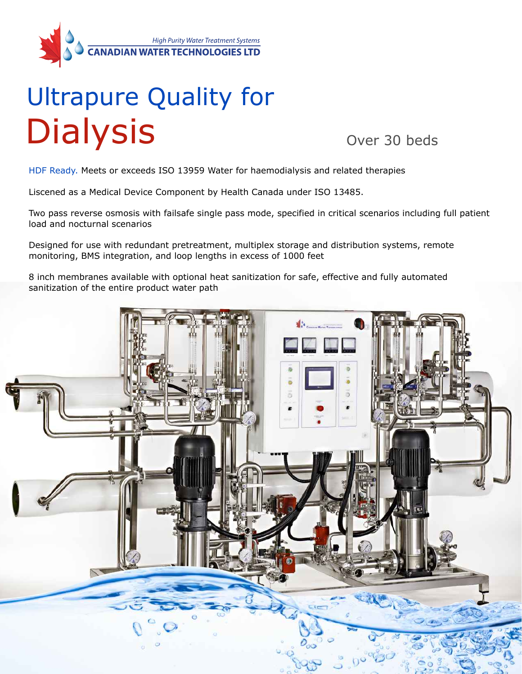

# Ultrapure Quality for **Dialysis**

Over 30 beds

HDF Ready. Meets or exceeds ISO 13959 Water for haemodialysis and related therapies

Liscened as a Medical Device Component by Health Canada under ISO 13485.

Two pass reverse osmosis with failsafe single pass mode, specified in critical scenarios including full patient load and nocturnal scenarios

Designed for use with redundant pretreatment, multiplex storage and distribution systems, remote monitoring, BMS integration, and loop lengths in excess of 1000 feet

8 inch membranes available with optional heat sanitization for safe, effective and fully automated sanitization of the entire product water path